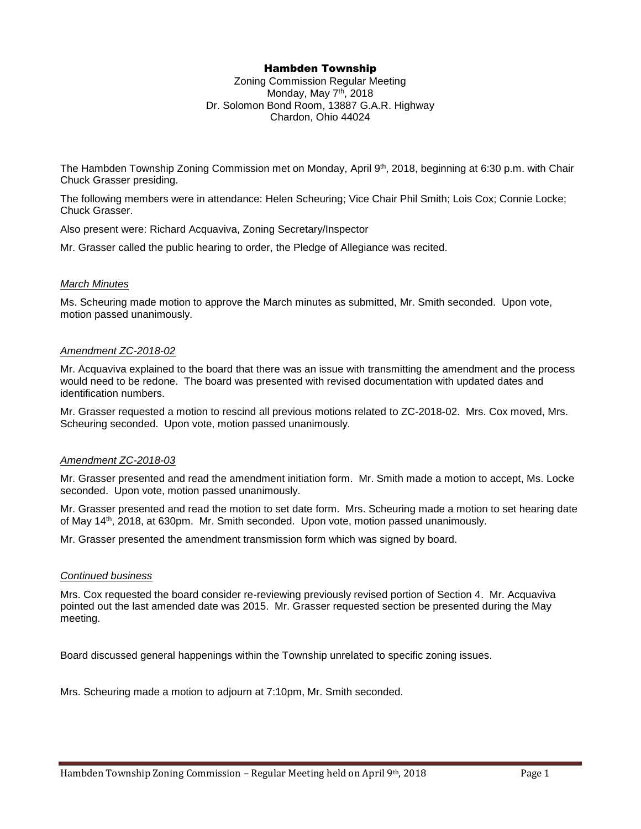# Hambden Township

Zoning Commission Regular Meeting Monday, May 7<sup>th</sup>, 2018 Dr. Solomon Bond Room, 13887 G.A.R. Highway Chardon, Ohio 44024

The Hambden Township Zoning Commission met on Monday, April 9<sup>th</sup>, 2018, beginning at 6:30 p.m. with Chair Chuck Grasser presiding.

The following members were in attendance: Helen Scheuring; Vice Chair Phil Smith; Lois Cox; Connie Locke; Chuck Grasser.

Also present were: Richard Acquaviva, Zoning Secretary/Inspector

Mr. Grasser called the public hearing to order, the Pledge of Allegiance was recited.

## *March Minutes*

Ms. Scheuring made motion to approve the March minutes as submitted, Mr. Smith seconded. Upon vote, motion passed unanimously.

## *Amendment ZC-2018-02*

Mr. Acquaviva explained to the board that there was an issue with transmitting the amendment and the process would need to be redone. The board was presented with revised documentation with updated dates and identification numbers.

Mr. Grasser requested a motion to rescind all previous motions related to ZC-2018-02. Mrs. Cox moved, Mrs. Scheuring seconded. Upon vote, motion passed unanimously.

# *Amendment ZC-2018-03*

Mr. Grasser presented and read the amendment initiation form. Mr. Smith made a motion to accept, Ms. Locke seconded. Upon vote, motion passed unanimously.

Mr. Grasser presented and read the motion to set date form. Mrs. Scheuring made a motion to set hearing date of May 14th, 2018, at 630pm. Mr. Smith seconded. Upon vote, motion passed unanimously.

Mr. Grasser presented the amendment transmission form which was signed by board.

#### *Continued business*

Mrs. Cox requested the board consider re-reviewing previously revised portion of Section 4. Mr. Acquaviva pointed out the last amended date was 2015. Mr. Grasser requested section be presented during the May meeting.

Board discussed general happenings within the Township unrelated to specific zoning issues.

Mrs. Scheuring made a motion to adjourn at 7:10pm, Mr. Smith seconded.